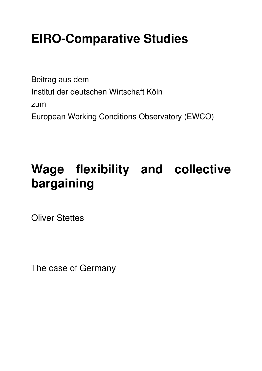# **EIRO-Comparative Studies**

Beitrag aus dem Institut der deutschen Wirtschaft Köln zum European Working Conditions Observatory (EWCO)

# **Wage flexibility and collective bargaining**

Oliver Stettes

The case of Germany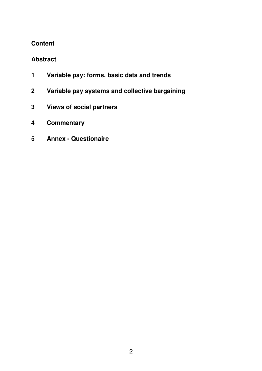# **Content**

# **Abstract**

- **1 Variable pay: forms, basic data and trends**
- **2 Variable pay systems and collective bargaining**
- **3 Views of social partners**
- **4 Commentary**
- **5 Annex Questionaire**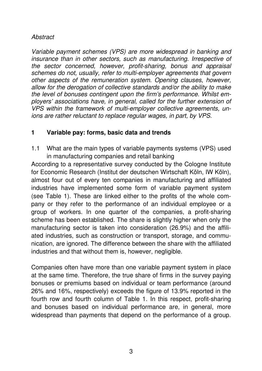# **Abstract**

Variable payment schemes (VPS) are more widespread in banking and insurance than in other sectors, such as manufacturing. Irrespective of the sector concerned, however, profit-sharing, bonus and appraisal schemes do not, usually, refer to multi-employer agreements that govern other aspects of the remuneration system. Opening clauses, however, allow for the derogation of collective standards and/or the ability to make the level of bonuses contingent upon the firm's performance. Whilst employers' associations have, in general, called for the further extension of VPS within the framework of multi-employer collective agreements, unions are rather reluctant to replace regular wages, in part, by VPS.

# **1 Variable pay: forms, basic data and trends**

1.1 What are the main types of variable payments systems (VPS) used in manufacturing companies and retail banking

According to a representative survey conducted by the Cologne Institute for Economic Research (Institut der deutschen Wirtschaft Köln, IW Köln), almost four out of every ten companies in manufacturing and affiliated industries have implemented some form of variable payment system (see Table 1). These are linked either to the profits of the whole company or they refer to the performance of an individual employee or a group of workers. In one quarter of the companies, a profit-sharing scheme has been established. The share is slightly higher when only the manufacturing sector is taken into consideration (26.9%) and the affiliated industries, such as construction or transport, storage, and communication, are ignored. The difference between the share with the affiliated industries and that without them is, however, negligible.

Companies often have more than one variable payment system in place at the same time. Therefore, the true share of firms in the survey paying bonuses or premiums based on individual or team performance (around 26% and 16%, respectively) exceeds the figure of 13.9% reported in the fourth row and fourth column of Table 1. In this respect, profit-sharing and bonuses based on individual performance are, in general, more widespread than payments that depend on the performance of a group.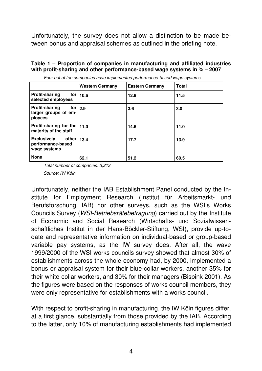Unfortunately, the survey does not allow a distinction to be made between bonus and appraisal schemes as outlined in the briefing note.

#### **Table 1 – Proportion of companies in manufacturing and affiliated industries with profit-sharing and other performance-based wage systems in % – 2007**

|                                                                             | <b>Western Germany</b> | <b>Eastern Germany</b> | <b>Total</b> |
|-----------------------------------------------------------------------------|------------------------|------------------------|--------------|
| <b>Profit-sharing</b><br>selected employees                                 | for $ 10.6 $           | 12.9                   | 11.5         |
| <b>Profit-sharing</b><br>for $\vert$ 2.9<br>larger groups of em-<br>ployees |                        | 3.6                    | 3.0          |
| Profit-sharing for the $ 11.0$<br>majority of the staff                     |                        | 14.6                   | 11.0         |
| <b>Exclusively</b><br>other<br>performance-based<br>wage systems            | 13.4                   | 17.7                   | 13.9         |
| <b>None</b>                                                                 | 62.1                   | 51.2                   | 60.5         |

Four out of ten companies have implemented performance-based wage systems.

Total number of companies: 3,213

Source: IW Köln

Unfortunately, neither the IAB Establishment Panel conducted by the Institute for Employment Research (Institut für Arbeitsmarkt- und Berufsforschung, IAB) nor other surveys, such as the WSI's Works Councils Survey (WSI-Betriebsrätebefragung) carried out by the Institute of Economic and Social Research (Wirtschafts- und Sozialwissenschaftliches Institut in der Hans-Böckler-Stiftung, WSI), provide up-todate and representative information on individual-based or group-based variable pay systems, as the IW survey does. After all, the wave 1999/2000 of the WSI works councils survey showed that almost 30% of establishments across the whole economy had, by 2000, implemented a bonus or appraisal system for their blue-collar workers, another 35% for their white-collar workers, and 30% for their managers (Bispink 2001). As the figures were based on the responses of works council members, they were only representative for establishments with a works council.

With respect to profit-sharing in manufacturing, the IW Köln figures differ, at a first glance, substantially from those provided by the IAB. According to the latter, only 10% of manufacturing establishments had implemented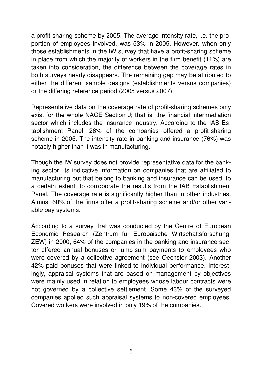a profit-sharing scheme by 2005. The average intensity rate, i.e. the proportion of employees involved, was 53% in 2005. However, when only those establishments in the IW survey that have a profit-sharing scheme in place from which the majority of workers in the firm benefit (11%) are taken into consideration, the difference between the coverage rates in both surveys nearly disappears. The remaining gap may be attributed to either the different sample designs (establishments versus companies) or the differing reference period (2005 versus 2007).

Representative data on the coverage rate of profit-sharing schemes only exist for the whole NACE Section J; that is, the financial intermediation sector which includes the insurance industry. According to the IAB Establishment Panel, 26% of the companies offered a profit-sharing scheme in 2005. The intensity rate in banking and insurance (76%) was notably higher than it was in manufacturing.

Though the IW survey does not provide representative data for the banking sector, its indicative information on companies that are affiliated to manufacturing but that belong to banking and insurance can be used, to a certain extent, to corroborate the results from the IAB Establishment Panel. The coverage rate is significantly higher than in other industries. Almost 60% of the firms offer a profit-sharing scheme and/or other variable pay systems.

According to a survey that was conducted by the Centre of European Economic Research (Zentrum für Europäische Wirtschaftsforschung, ZEW) in 2000, 64% of the companies in the banking and insurance sector offered annual bonuses or lump-sum payments to employees who were covered by a collective agreement (see Oechsler 2003). Another 42% paid bonuses that were linked to individual performance. Interestingly, appraisal systems that are based on management by objectives were mainly used in relation to employees whose labour contracts were not governed by a collective settlement. Some 43% of the surveyed companies applied such appraisal systems to non-covered employees. Covered workers were involved in only 19% of the companies.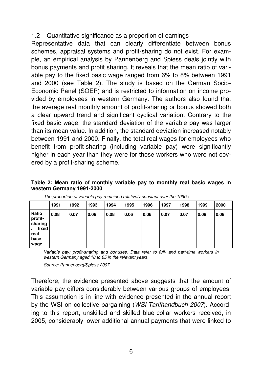# 1.2 Quantitative significance as a proportion of earnings

Representative data that can clearly differentiate between bonus schemes, appraisal systems and profit-sharing do not exist. For example, an empirical analysis by Pannenberg and Spiess deals jointly with bonus payments and profit sharing. It reveals that the mean ratio of variable pay to the fixed basic wage ranged from 6% to 8% between 1991 and 2000 (see Table 2). The study is based on the German Socio-Economic Panel (SOEP) and is restricted to information on income provided by employees in western Germany. The authors also found that the average real monthly amount of profit-sharing or bonus showed both a clear upward trend and significant cyclical variation. Contrary to the fixed basic wage, the standard deviation of the variable pay was larger than its mean value. In addition, the standard deviation increased notably between 1991 and 2000. Finally, the total real wages for employees who benefit from profit-sharing (including variable pay) were significantly higher in each year than they were for those workers who were not covered by a profit-sharing scheme.

#### **Table 2: Mean ratio of monthly variable pay to monthly real basic wages in western Germany 1991-2000**

|                                                              | 1991 | 1992 | 1993 | 1994 | 1995 | 1996 | 1997 | 1998 | 1999 | 2000 |
|--------------------------------------------------------------|------|------|------|------|------|------|------|------|------|------|
| Ratio<br>profit-<br>sharing<br>fixed<br>real<br>base<br>wage | 0.08 | 0.07 | 0.06 | 0.08 | 0.06 | 0.06 | 0.07 | 0.07 | 0.08 | 0.08 |

Variable pay: profit-sharing and bonuses. Data refer to full- and part-time workers in western Germany aged 18 to 65 in the relevant years.

Source: Pannenberg/Spiess 2007

Therefore, the evidence presented above suggests that the amount of variable pay differs considerably between various groups of employees. This assumption is in line with evidence presented in the annual report by the WSI on collective bargaining (WSI-Tarifhandbuch 2007). According to this report, unskilled and skilled blue-collar workers received, in 2005, considerably lower additional annual payments that were linked to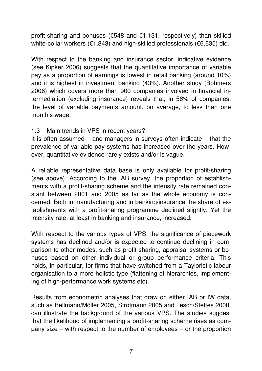profit-sharing and bonuses (€548 and €1,131, respectively) than skilled white-collar workers (€1,843) and high-skilled professionals (€6,635) did.

With respect to the banking and insurance sector, indicative evidence (see Kipker 2006) suggests that the quantitative importance of variable pay as a proportion of earnings is lowest in retail banking (around 10%) and it is highest in investment banking (43%). Another study (Böhmers 2006) which covers more than 900 companies involved in financial intermediation (excluding insurance) reveals that, in 56% of companies, the level of variable payments amount, on average, to less than one month's wage.

## 1.3 Main trends in VPS in recent years?

It is often assumed – and managers in surveys often indicate – that the prevalence of variable pay systems has increased over the years. However, quantitative evidence rarely exists and/or is vague.

A reliable representative data base is only available for profit-sharing (see above). According to the IAB survey, the proportion of establishments with a profit-sharing scheme and the intensity rate remained constant between 2001 and 2005 as far as the whole economy is concerned. Both in manufacturing and in banking/insurance the share of establishments with a profit-sharing programme declined slightly. Yet the intensity rate, at least in banking and insurance, increased.

With respect to the various types of VPS, the significance of piecework systems has declined and/or is expected to continue declining in comparison to other modes, such as profit-sharing, appraisal systems or bonuses based on other individual or group performance criteria. This holds, in particular, for firms that have switched from a Tayloristic labour organisation to a more holistic type (flattening of hierarchies, implementing of high-performance work systems etc).

Results from econometric analyses that draw on either IAB or IW data, such as Bellmann/Möller 2005, Strotmann 2005 and Lesch/Stettes 2008, can illustrate the background of the various VPS. The studies suggest that the likelihood of implementing a profit-sharing scheme rises as company size – with respect to the number of employees – or the proportion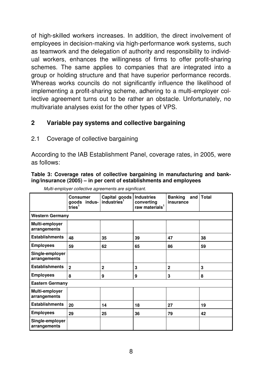of high-skilled workers increases. In addition, the direct involvement of employees in decision-making via high-performance work systems, such as teamwork and the delegation of authority and responsibility to individual workers, enhances the willingness of firms to offer profit-sharing schemes. The same applies to companies that are integrated into a group or holding structure and that have superior performance records. Whereas works councils do not significantly influence the likelihood of implementing a profit-sharing scheme, adhering to a multi-employer collective agreement turns out to be rather an obstacle. Unfortunately, no multivariate analyses exist for the other types of VPS.

# **2 Variable pay systems and collective bargaining**

## 2.1 Coverage of collective bargaining

According to the IAB Establishment Panel, coverage rates, in 2005, were as follows:

#### **Table 3: Coverage rates of collective bargaining in manufacturing and banking/insurance (2005) – in per cent of establishments and employees**

|                                 | Consumer<br>goods indus-<br>$\bar{t}$ ries <sup>1</sup> | Capital goods<br>industries <sup>1</sup> | <b>Industries</b><br>converting<br>raw materials <sup>1</sup> | <b>Banking</b><br>insurance | and   Total |
|---------------------------------|---------------------------------------------------------|------------------------------------------|---------------------------------------------------------------|-----------------------------|-------------|
| <b>Western Germany</b>          |                                                         |                                          |                                                               |                             |             |
| Multi-employer<br>arrangements  |                                                         |                                          |                                                               |                             |             |
| <b>Establishments</b>           | 48                                                      | 35                                       | 39                                                            | 47                          | 38          |
| <b>Employees</b>                | 59                                                      | 62                                       | 65                                                            | 86                          | 59          |
| Single-employer<br>arrangements |                                                         |                                          |                                                               |                             |             |
| <b>Establishments</b>           | $\mathbf{2}$                                            | $\overline{2}$                           | 3                                                             | $\mathbf{2}$                | 3           |
| <b>Employees</b>                | 8                                                       | 9                                        | 9                                                             | 3                           | 8           |
| <b>Eastern Germany</b>          |                                                         |                                          |                                                               |                             |             |
| Multi-employer<br>arrangements  |                                                         |                                          |                                                               |                             |             |
| <b>Establishments</b>           | 20                                                      | 14                                       | 18                                                            | 27                          | 19          |
| <b>Employees</b>                | 29                                                      | 25                                       | 36                                                            | 79                          | 42          |
| Single-employer<br>arrangements |                                                         |                                          |                                                               |                             |             |

Multi-employer collective agreements are significant.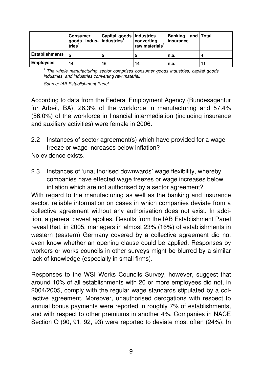|                       | <b>Consumer</b><br>goods indus- industries <sup>1</sup><br>tries <sup>1</sup> | Capital goods   Industries | converting<br>raw materials <sup>1</sup> | Banking and Total<br>insurance |  |
|-----------------------|-------------------------------------------------------------------------------|----------------------------|------------------------------------------|--------------------------------|--|
| <b>Establishments</b> | <u>  5</u>                                                                    |                            |                                          | n.a.                           |  |
| <b>Employees</b>      | 14                                                                            | 16                         | 14                                       | n.a.                           |  |

 $1$  The whole manufacturing sector comprises consumer goods industries, capital goods industries, and industries converting raw material.

Source: IAB Establishment Panel

According to data from the Federal Employment Agency (Bundesagentur für Arbeit, BA), 26.3% of the workforce in manufacturing and 57.4% (56.0%) of the workforce in financial intermediation (including insurance and auxiliary activities) were female in 2006.

2.2 Instances of sector agreement(s) which have provided for a wage freeze or wage increases below inflation?

No evidence exists.

2.3 Instances of 'unauthorised downwards' wage flexibility, whereby companies have effected wage freezes or wage increases below inflation which are not authorised by a sector agreement? With regard to the manufacturing as well as the banking and insurance sector, reliable information on cases in which companies deviate from a collective agreement without any authorisation does not exist. In addition, a general caveat applies. Results from the IAB Establishment Panel reveal that, in 2005, managers in almost 23% (16%) of establishments in western (eastern) Germany covered by a collective agreement did not even know whether an opening clause could be applied. Responses by workers or works councils in other surveys might be blurred by a similar

Responses to the WSI Works Councils Survey, however, suggest that around 10% of all establishments with 20 or more employees did not, in 2004/2005, comply with the regular wage standards stipulated by a collective agreement. Moreover, unauthorised derogations with respect to annual bonus payments were reported in roughly 7% of establishments, and with respect to other premiums in another 4%. Companies in NACE Section O (90, 91, 92, 93) were reported to deviate most often (24%). In

lack of knowledge (especially in small firms).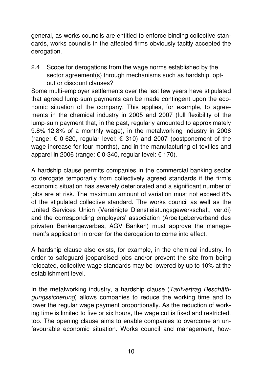general, as works councils are entitled to enforce binding collective standards, works councils in the affected firms obviously tacitly accepted the derogation.

2.4 Scope for derogations from the wage norms established by the sector agreement(s) through mechanisms such as hardship, optout or discount clauses?

Some multi-employer settlements over the last few years have stipulated that agreed lump-sum payments can be made contingent upon the economic situation of the company. This applies, for example, to agreements in the chemical industry in 2005 and 2007 (full flexibility of the lump-sum payment that, in the past, regularly amounted to approximately 9.8%-12.8% of a monthly wage), in the metalworking industry in 2006 (range:  $\epsilon$  0-620, regular level:  $\epsilon$  310) and 2007 (postponement of the wage increase for four months), and in the manufacturing of textiles and apparel in 2006 (range:  $\epsilon$  0-340, regular level:  $\epsilon$  170).

A hardship clause permits companies in the commercial banking sector to derogate temporarily from collectively agreed standards if the firm's economic situation has severely deteriorated and a significant number of jobs are at risk. The maximum amount of variation must not exceed 8% of the stipulated collective standard. The works council as well as the United Services Union (Vereinigte Dienstleistungsgewerkschaft, ver.di) and the corresponding employers' association (Arbeitgeberverband des privaten Bankengewerbes, AGV Banken) must approve the management's application in order for the derogation to come into effect.

A hardship clause also exists, for example, in the chemical industry. In order to safeguard jeopardised jobs and/or prevent the site from being relocated, collective wage standards may be lowered by up to 10% at the establishment level.

In the metalworking industry, a hardship clause (Tarifvertrag Beschäftigungssicherung) allows companies to reduce the working time and to lower the regular wage payment proportionally. As the reduction of working time is limited to five or six hours, the wage cut is fixed and restricted, too. The opening clause aims to enable companies to overcome an unfavourable economic situation. Works council and management, how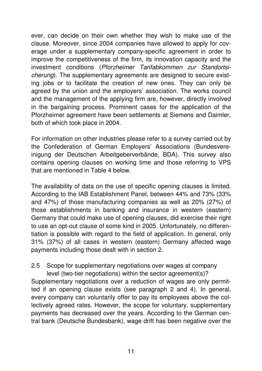ever, can decide on their own whether they wish to make use of the clause. Moreover, since 2004 companies have allowed to apply for coverage under a supplementary company-specific agreement in order to improve the competitiveness of the firm, its innovation capacity and the investment conditions (Pforzheimer Tarifabkommen zur Standortsicherung). The supplementary agreements are designed to secure existing jobs or to facilitate the creation of new ones. They can only be agreed by the union and the employers' association. The works council and the management of the applying firm are, however, directly involved in the bargaining process. Prominent cases for the application of the Pforzheimer agreement have been settlements at Siemens and Daimler, both of which took place in 2004.

For information on other industries please refer to a survey carried out by the Confederation of German Employers' Associations (Bundesvereinigung der Deutschen Arbeitgeberverbände, BDA). This survey also contains opening clauses on working time and those referring to VPS that are mentioned in Table 4 below.

The availability of data on the use of specific opening clauses is limited. According to the IAB Establishment Panel, between 44% and 73% (33% and 47%) of those manufacturing companies as well as 20% (27%) of those establishments in banking and insurance in western (eastern) Germany that could make use of opening clauses, did exercise their right to use an opt-out clause of some kind in 2005. Unfortunately, no differentiation is possible with regard to the field of application. In general, only 31% (37%) of all cases in western (eastern) Germany affected wage payments including those dealt with in section 2.

# 2.5 Scope for supplementary negotiations over wages at company

level (two-tier negotiations) within the sector agreement(s)? Supplementary negotiations over a reduction of wages are only permitted if an opening clause exists (see paragraph 2 and 4). In general, every company can voluntarily offer to pay its employees above the collectively agreed rates. However, the scope for voluntary, supplementary payments has decreased over the years. According to the German central bank (Deutsche Bundesbank), wage drift has been negative over the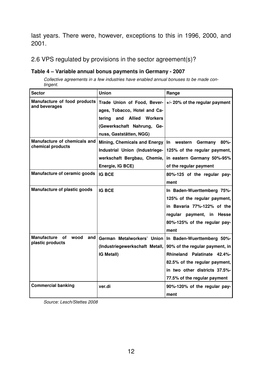last years. There were, however, exceptions to this in 1996, 2000, and 2001.

### 2.6 VPS regulated by provisions in the sector agreement(s)?

#### **Table 4 – Variable annual bonus payments in Germany - 2007**

Collective agreements in a few industries have enabled annual bonuses to be made contingent.

| <b>Sector</b>                                          | <b>Union</b>                                                                                                                                                             | Range                                                                                                                                                                                         |
|--------------------------------------------------------|--------------------------------------------------------------------------------------------------------------------------------------------------------------------------|-----------------------------------------------------------------------------------------------------------------------------------------------------------------------------------------------|
| Manufacture of food products<br>and beverages          | Trade Union of Food, Bever-<br>ages, Tobacco, Hotel and Ca-<br><b>Allied</b><br><b>Workers</b><br>tering<br>and<br>(Gewerkschaft Nahrung, Ge-<br>nuss, Gaststätten, NGG) | +/- 20% of the regular payment                                                                                                                                                                |
| Manufacture of chemicals and<br>chemical products      | Mining, Chemicals and Energy<br>Industrial Union (Industriege-<br>werkschaft Bergbau, Chemie,<br>Energie, IG BCE)                                                        | western<br>Germany<br>$80\%$ -<br>In.<br>125% of the regular payment,<br>in eastern Germany 50%-95%<br>of the regular payment                                                                 |
| <b>Manufacture of ceramic goods</b>                    | <b>IG BCE</b>                                                                                                                                                            | 80%-125 of the regular pay-<br>ment                                                                                                                                                           |
| Manufacture of plastic goods                           | <b>IG BCE</b>                                                                                                                                                            | In Baden-Wuerttemberg 75%-<br>125% of the regular payment,<br>in Bavaria 77%-122% of the<br>regular payment, in Hesse<br>80%-125% of the regular pay-<br>ment                                 |
| Manufacture<br>оf<br>wood<br>and l<br>plastic products | German Metalworkers' Union<br>(Industriegewerkschaft Metall,<br><b>IG Metall)</b>                                                                                        | In Baden-Wuerttemberg 50%-<br>90% of the regular payment, in<br>Rhineland Palatinate 42.4%-<br>82.5% of the regular payment,<br>in two other districts 37.5%-<br>77.5% of the regular payment |
| <b>Commercial banking</b>                              | ver.di                                                                                                                                                                   | 90%-120% of the regular pay-<br>ment                                                                                                                                                          |

Source: Lesch/Stettes 2008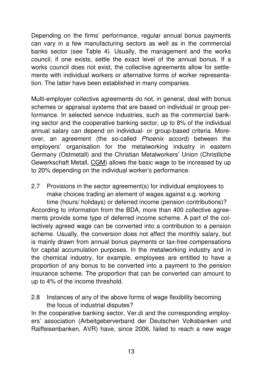Depending on the firms' performance, regular annual bonus payments can vary in a few manufacturing sectors as well as in the commercial banks sector (see Table 4). Usually, the management and the works council, if one exists, settle the exact level of the annual bonus. If a works council does not exist, the collective agreements allow for settlements with individual workers or alternative forms of worker representation. The latter have been established in many companies.

Multi-employer collective agreements do not, in general, deal with bonus schemes or appraisal systems that are based on individual or group performance. In selected service industries, such as the commercial banking sector and the cooperative banking sector, up to 8% of the individual annual salary can depend on individual- or group-based criteria. Moreover, an agreement (the so-called Phoenix accord) between the employers' organisation for the metalworking industry in eastern Germany (Ostmetall) and the Christian Metalworkers' Union (Christliche Gewerkschaft Metall, CGM) allows the basic wage to be increased by up to 20% depending on the individual worker's performance.

- 2.7 Provisions in the sector agreement(s) for individual employees to make choices trading an element of wages against e.g. working time (hours/ holidays) or deferred income (pension contributions)? According to information from the BDA, more than 400 collective agreements provide some type of deferred income scheme. A part of the collectively agreed wage can be converted into a contribution to a pension scheme. Usually, the conversion does not affect the monthly salary, but is mainly drawn from annual bonus payments or tax-free compensations for capital accumulation purposes. In the metalworking industry and in the chemical industry, for example, employees are entitled to have a proportion of any bonus to be converted into a payment to the pension insurance scheme. The proportion that can be converted can amount to up to 4% of the income threshold.
- 2.8 Instances of any of the above forms of wage flexibility becoming the focus of industrial disputes?

In the cooperative banking sector, Ver.di and the corresponding employers' association (Arbeitgeberverband der Deutschen Volksbanken und Raiffeisenbanken, AVR) have, since 2006, failed to reach a new wage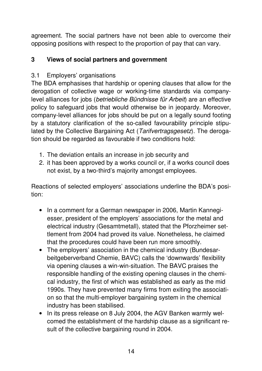agreement. The social partners have not been able to overcome their opposing positions with respect to the proportion of pay that can vary.

# **3 Views of social partners and government**

# 3.1 Employers' organisations

The BDA emphasises that hardship or opening clauses that allow for the derogation of collective wage or working-time standards via companylevel alliances for jobs (betriebliche Bündnisse für Arbeit) are an effective policy to safeguard jobs that would otherwise be in jeopardy. Moreover, company-level alliances for jobs should be put on a legally sound footing by a statutory clarification of the so-called favourability principle stipulated by the Collective Bargaining Act (Tarifvertragsgesetz). The derogation should be regarded as favourable if two conditions hold:

- 1. The deviation entails an increase in job security and
- 2. it has been approved by a works council or, if a works council does not exist, by a two-third's majority amongst employees.

Reactions of selected employers' associations underline the BDA's position:

- In a comment for a German newspaper in 2006, Martin Kannegiesser, president of the employers' associations for the metal and electrical industry (Gesamtmetall), stated that the Pforzheimer settlement from 2004 had proved its value. Nonetheless, he claimed that the procedures could have been run more smoothly.
- The employers' association in the chemical industry (Bundesarbeitgeberverband Chemie, BAVC) calls the 'downwards' flexibility via opening clauses a win-win-situation. The BAVC praises the responsible handling of the existing opening clauses in the chemical industry, the first of which was established as early as the mid 1990s. They have prevented many firms from exiting the association so that the multi-employer bargaining system in the chemical industry has been stabilised.
- In its press release on 8 July 2004, the AGV Banken warmly welcomed the establishment of the hardship clause as a significant result of the collective bargaining round in 2004.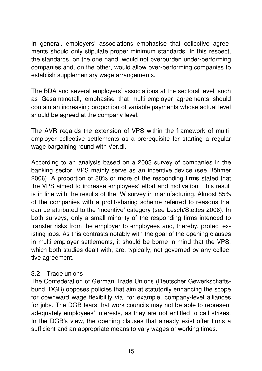In general, employers' associations emphasise that collective agreements should only stipulate proper minimum standards. In this respect, the standards, on the one hand, would not overburden under-performing companies and, on the other, would allow over-performing companies to establish supplementary wage arrangements.

The BDA and several employers' associations at the sectoral level, such as Gesamtmetall, emphasise that multi-employer agreements should contain an increasing proportion of variable payments whose actual level should be agreed at the company level.

The AVR regards the extension of VPS within the framework of multiemployer collective settlements as a prerequisite for starting a regular wage bargaining round with Ver.di.

According to an analysis based on a 2003 survey of companies in the banking sector, VPS mainly serve as an incentive device (see Böhmer 2006). A proportion of 80% or more of the responding firms stated that the VPS aimed to increase employees' effort and motivation. This result is in line with the results of the IW survey in manufacturing. Almost 85% of the companies with a profit-sharing scheme referred to reasons that can be attributed to the 'incentive' category (see Lesch/Stettes 2008). In both surveys, only a small minority of the responding firms intended to transfer risks from the employer to employees and, thereby, protect existing jobs. As this contrasts notably with the goal of the opening clauses in multi-employer settlements, it should be borne in mind that the VPS, which both studies dealt with, are, typically, not governed by any collective agreement.

# 3.2 Trade unions

The Confederation of German Trade Unions (Deutscher Gewerkschaftsbund, DGB) opposes policies that aim at statutorily enhancing the scope for downward wage flexibility via, for example, company-level alliances for jobs. The DGB fears that work councils may not be able to represent adequately employees' interests, as they are not entitled to call strikes. In the DGB's view, the opening clauses that already exist offer firms a sufficient and an appropriate means to vary wages or working times.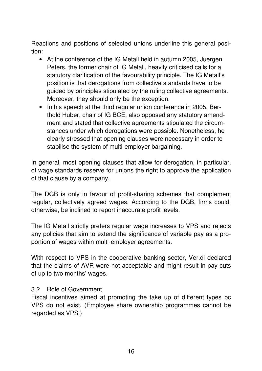Reactions and positions of selected unions underline this general position:

- At the conference of the IG Metall held in autumn 2005, Juergen Peters, the former chair of IG Metall, heavily criticised calls for a statutory clarification of the favourability principle. The IG Metall's position is that derogations from collective standards have to be guided by principles stipulated by the ruling collective agreements. Moreover, they should only be the exception.
- In his speech at the third regular union conference in 2005, Berthold Huber, chair of IG BCE, also opposed any statutory amendment and stated that collective agreements stipulated the circumstances under which derogations were possible. Nonetheless, he clearly stressed that opening clauses were necessary in order to stabilise the system of multi-employer bargaining.

In general, most opening clauses that allow for derogation, in particular, of wage standards reserve for unions the right to approve the application of that clause by a company.

The DGB is only in favour of profit-sharing schemes that complement regular, collectively agreed wages. According to the DGB, firms could, otherwise, be inclined to report inaccurate profit levels.

The IG Metall strictly prefers regular wage increases to VPS and rejects any policies that aim to extend the significance of variable pay as a proportion of wages within multi-employer agreements.

With respect to VPS in the cooperative banking sector, Ver.di declared that the claims of AVR were not acceptable and might result in pay cuts of up to two months' wages.

## 3.2 Role of Government

Fiscal incentives aimed at promoting the take up of different types oc VPS do not exist. (Employee share ownership programmes cannot be regarded as VPS.)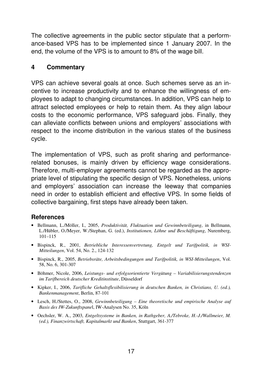The collective agreements in the public sector stipulate that a performance-based VPS has to be implemented since 1 January 2007. In the end, the volume of the VPS is to amount to 8% of the wage bill.

# **4 Commentary**

VPS can achieve several goals at once. Such schemes serve as an incentive to increase productivity and to enhance the willingness of employees to adapt to changing circumstances. In addition, VPS can help to attract selected employees or help to retain them. As they align labour costs to the economic performance, VPS safeguard jobs. Finally, they can alleviate conflicts between unions and employers' associations with respect to the income distribution in the various states of the business cycle.

The implementation of VPS, such as profit sharing and performancerelated bonuses, is mainly driven by efficiency wage considerations. Therefore, multi-employer agreements cannot be regarded as the appropriate level of stipulating the specific design of VPS. Nonetheless, unions and employers' association can increase the leeway that companies need in order to establish efficient and effective VPS. In some fields of collective bargaining, first steps have already been taken.

## **References**

- Bellmann, L./Möller, I., 2005, *Produktivität, Fluktuation und Gewinnbeteiligung*, in Bellmann, L./Hübler, O./Meyer, W./Stephan, G. (ed.), *Institutionen, Löhne und Beschäftigung*, Nuremberg, 101–115
- Bispinck, R., 2001, *Betriebliche Interessenvertretung, Entgelt und Tarifpolitik, in WSI-Mitteilungen*, Vol. 54, No. 2., 124-132
- Bispinck, R., 2005, *Betriebsräte, Arbeitsbedingungen und Tarifpolitik, in WSI-Mitteilungen*, Vol. 58, No. 6, 301-307
- Böhmer, Nicole, 2006, *Leistungs- und erfolgsorientierte Vergütung Variabilisierungstendenzen im Tarifbereich deutscher Kreditinstitute*, Düsseldorf
- Kipker, I., 2006, *Tarifliche Gehaltsflexibilisierung in deutschen Banken, in Christians, U. (ed.), Bankenmanagement*, Berlin, 87-101
- Lesch, H./Stettes, O., 2008, *Gewinnbeteiligung Eine theoretische und empirische Analyse auf Basis des IW-Zukunftspane*l, IW-Analysen No. 35, Köln
- Oechsler, W. A., 2003*, Entgeltsysteme in Banken, in Rathgeber, A./Tebroke, H.-J./Wallmeier, M. (ed.), Finanzwirtschaft, Kapitalmarkt und Banken*, Stuttgart, 361-377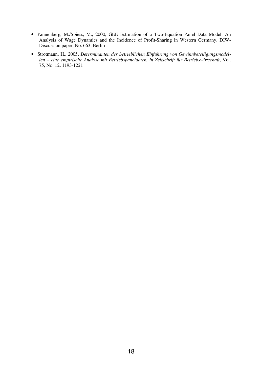- Pannenberg, M./Spiess, M., 2000, GEE Estimation of a Two-Equation Panel Data Model: An Analysis of Wage Dynamics and the Incidence of Profit-Sharing in Western Germany, DIW-Discussion paper, No. 663, Berlin
- Strotmann, H., 2005, *Determinanten der betrieblichen Einführung von Gewinnbeteiligungsmodellen – eine empirische Analyse mit Betriebspaneldaten, in Zeitschrift für Betriebswirtschaft*, Vol. 75, No. 12, 1193-1221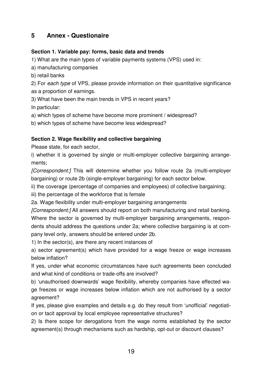# **5 Annex - Questionaire**

#### **Section 1. Variable pay: forms, basic data and trends**

1) What are the main types of variable payments systems (VPS) used in:

a) manufacturing companies

b) retail banks

2) For each type of VPS, please provide information on their quantitative significance as a proportion of earnings.

3) What have been the main trends in VPS in recent years?

In particular:

a) which types of scheme have become more prominent / widespread?

b) which types of scheme have become less widespread?

#### **Section 2. Wage flexibility and collective bargaining**

Please state, for each sector,

i) whether it is governed by single or multi-employer collective bargaining arrangements;

[Correspondent:] This will determine whether you follow route 2a (multi-employer bargaining) or route 2b (single-employer bargaining) for each sector below.

ii) the coverage (percentage of companies and employees) of collective bargaining;

iii) the percentage of the workforce that is female

2a. Wage flexibility under multi-employer bargaining arrangements

[Correspondent:] All answers should report on both manufacturing and retail banking. Where the sector is governed by multi-employer bargaining arrangements, respondents should address the questions under 2a; where collective bargaining is at company level only, answers should be entered under 2b.

1) In the sector(s), are there any recent instances of

a) sector agreement(s) which have provided for a wage freeze or wage increases below inflation?

If yes, under what economic circumstances have such agreements been concluded and what kind of conditions or trade-offs are involved?

b) 'unauthorised downwards' wage flexibility, whereby companies have effected wage freezes or wage increases below inflation which are not authorised by a sector agreement?

If yes, please give examples and details e.g. do they result from 'unofficial' negotiation or tacit approval by local employee representative structures?

2) Is there scope for derogations from the wage norms established by the sector agreement(s) through mechanisms such as hardship, opt-out or discount clauses?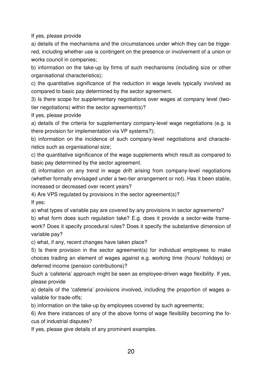If yes, please provide

a) details of the mechanisms and the circumstances under which they can be triggered, including whether use is contingent on the presence or involvement of a union or works council in companies;

b) information on the take-up by firms of such mechanisms (including size or other organisational characteristics);

c) the quantitative significance of the reduction in wage levels typically involved as compared to basic pay determined by the sector agreement.

3) Is there scope for supplementary negotiations over wages at company level (twotier negotiations) within the sector agreement(s)?

If yes, please provide

a) details of the criteria for supplementary company-level wage negotiations (e.g. is there provision for implementation via VP systems?);

b) information on the incidence of such company-level negotiations and characteristics such as organisational size;

c) the quantitative significance of the wage supplements which result as compared to basic pay determined by the sector agreement.

d) information on any trend in wage drift arising from company-level negotiations (whether formally envisaged under a two-tier arrangement or not). Has it been stable, increased or decreased over recent years?

4) Are VPS regulated by provisions in the sector agreement(s)?

If yes:

a) what types of variable pay are covered by any provisions in sector agreements?

b) what form does such regulation take? E.g. does it provide a sector-wide framework? Does it specify procedural rules? Does it specify the substantive dimension of variable pay?

c) what, if any, recent changes have taken place?

5) Is there provision in the sector agreement(s) for individual employees to make choices trading an element of wages against e.g. working time (hours/ holidays) or deferred income (pension contributions)?

Such a 'cafeteria' approach might be seen as employee-driven wage flexibility. If yes, please provide

a) details of the 'cafeteria' provisions involved, including the proportion of wages available for trade-offs;

b) information on the take-up by employees covered by such agreements;

6) Are there instances of any of the above forms of wage flexibility becoming the focus of industrial disputes?

If yes, please give details of any prominent examples.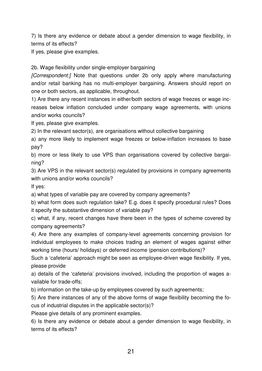7) Is there any evidence or debate about a gender dimension to wage flexibility, in terms of its effects?

If yes, please give examples.

2b. Wage flexibility under single-employer bargaining

[Correspondent:] Note that questions under 2b only apply where manufacturing and/or retail banking has no multi-employer bargaining. Answers should report on one or both sectors, as applicable, throughout.

1) Are there any recent instances in either/both sectors of wage freezes or wage increases below inflation concluded under company wage agreements, with unions and/or works councils?

If yes, please give examples.

2) In the relevant sector(s), are organisations without collective bargaining

a) any more likely to implement wage freezes or below-inflation increases to base pay?

b) more or less likely to use VPS than organisations covered by collective bargaining?

3) Are VPS in the relevant sector(s) regulated by provisions in company agreements with unions and/or works councils?

If yes:

a) what types of variable pay are covered by company agreements?

b) what form does such regulation take? E.g. does it specify procedural rules? Does it specify the substantive dimension of variable pay?

c) what, if any, recent changes have there been in the types of scheme covered by company agreements?

4) Are there any examples of company-level agreements concerning provision for individual employees to make choices trading an element of wages against either working time (hours/ holidays) or deferred income (pension contributions)?

Such a 'cafeteria' approach might be seen as employee-driven wage flexibility. If yes, please provide

a) details of the 'cafeteria' provisions involved, including the proportion of wages available for trade-offs;

b) information on the take-up by employees covered by such agreements;

5) Are there instances of any of the above forms of wage flexibility becoming the focus of industrial disputes in the applicable sector(s)?

Please give details of any prominent examples.

6) Is there any evidence or debate about a gender dimension to wage flexibility, in terms of its effects?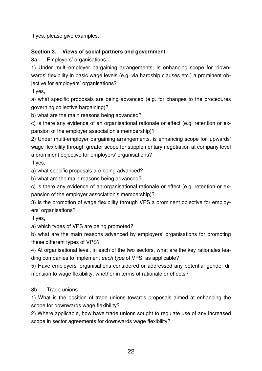If yes, please give examples.

## **Section 3. Views of social partners and government**

3a Employers' organisations

1) Under multi-employer bargaining arrangements, Is enhancing scope for 'downwards' flexibility in basic wage levels (e.g. via hardship clauses etc.) a prominent objective for employers' organisations?

If yes,

a) what specific proposals are being advanced (e.g. for changes to the procedures governing collective bargaining)?

b) what are the main reasons being advanced?

c) is there any evidence of an organisational rationale or effect (e.g. retention or expansion of the employer association's membership)?

2) Under multi-employer bargaining arrangements, is enhancing scope for 'upwards' wage flexibility through greater scope for supplementary negotiation at company level a prominent objective for employers' organisations?

If yes,

a) what specific proposals are being advanced?

b) what are the main reasons being advanced?

c) is there any evidence of an organisational rationale or effect (e.g. retention or expansion of the employer association's membership)?

3) Is the promotion of wage flexibility through VPS a prominent objective for employers' organisations?

If yes,

a) which types of VPS are being promoted?

b) what are the main reasons advanced by employers' organisations for promoting these different types of VPS?

4) At organisational level, in each of the two sectors, what are the key rationales leading companies to implement each type of VPS, as applicable?

5) Have employers' organisations considered or addressed any potential gender dimension to wage flexibility, whether in terms of rationale or effects?

## 3b Trade unions

1) What is the position of trade unions towards proposals aimed at enhancing the scope for downwards wage flexibility?

2) Where applicable, how have trade unions sought to regulate use of any increased scope in sector agreements for downwards wage flexibility?